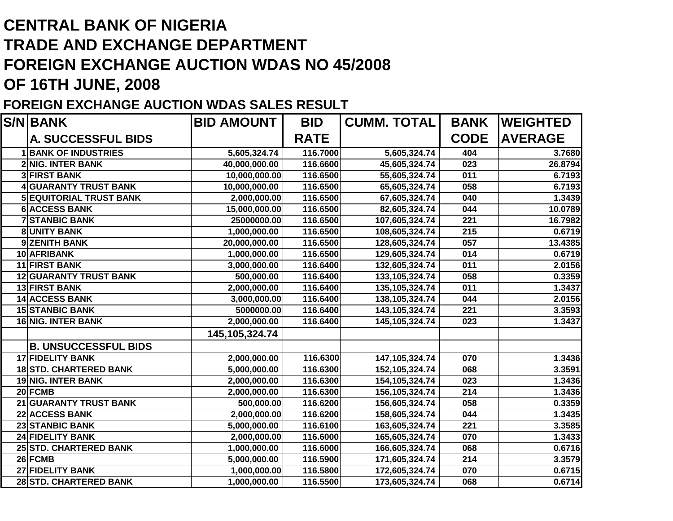## **CENTRAL BANK OF NIGERIA TRADE AND EXCHANGE DEPARTMENT FOREIGN EXCHANGE AUCTION WDAS NO 45/2008OF 16TH JUNE, 2008**

## **FOREIGN EXCHANGE AUCTION WDAS SALES RESULT**

| <b>S/N BANK</b>                | <b>BID AMOUNT</b> | <b>BID</b>  | <b>CUMM. TOTAL</b> | <b>BANK</b> | <b>WEIGHTED</b> |
|--------------------------------|-------------------|-------------|--------------------|-------------|-----------------|
| <b>A. SUCCESSFUL BIDS</b>      |                   | <b>RATE</b> |                    | <b>CODE</b> | <b>AVERAGE</b>  |
| <b>1BANK OF INDUSTRIES</b>     | 5,605,324.74      | 116.7000    | 5,605,324.74       | 404         | 3.7680          |
| 2 NIG. INTER BANK              | 40,000,000.00     | 116.6600    | 45,605,324.74      | 023         | 26.8794         |
| <b>3 FIRST BANK</b>            | 10,000,000.00     | 116.6500    | 55,605,324.74      | 011         | 6.7193          |
| <b>4 GUARANTY TRUST BANK</b>   | 10,000,000.00     | 116.6500    | 65,605,324.74      | 058         | 6.7193          |
| <b>5 EQUITORIAL TRUST BANK</b> | 2,000,000.00      | 116.6500    | 67,605,324.74      | 040         | 1.3439          |
| <b>6 ACCESS BANK</b>           | 15,000,000.00     | 116.6500    | 82,605,324.74      | 044         | 10.0789         |
| <b>7 STANBIC BANK</b>          | 25000000.00       | 116.6500    | 107,605,324.74     | 221         | 16.7982         |
| <b>8UNITY BANK</b>             | 1,000,000.00      | 116.6500    | 108,605,324.74     | 215         | 0.6719          |
| 9ZENITH BANK                   | 20,000,000.00     | 116.6500    | 128,605,324.74     | 057         | 13.4385         |
| 10 AFRIBANK                    | 1,000,000.00      | 116.6500    | 129,605,324.74     | 014         | 0.6719          |
| <b>11 FIRST BANK</b>           | 3,000,000.00      | 116.6400    | 132,605,324.74     | 011         | 2.0156          |
| <b>12 GUARANTY TRUST BANK</b>  | 500,000.00        | 116.6400    | 133, 105, 324. 74  | 058         | 0.3359          |
| <b>13 FIRST BANK</b>           | 2,000,000.00      | 116.6400    | 135, 105, 324. 74  | 011         | 1.3437          |
| <b>14 ACCESS BANK</b>          | 3,000,000.00      | 116.6400    | 138,105,324.74     | 044         | 2.0156          |
| <b>15 STANBIC BANK</b>         | 5000000.00        | 116.6400    | 143, 105, 324. 74  | 221         | 3.3593          |
| <b>16 NIG. INTER BANK</b>      | 2,000,000.00      | 116.6400    | 145, 105, 324. 74  | 023         | 1.3437          |
|                                | 145, 105, 324. 74 |             |                    |             |                 |
| <b>B. UNSUCCESSFUL BIDS</b>    |                   |             |                    |             |                 |
| <b>17 FIDELITY BANK</b>        | 2,000,000.00      | 116.6300    | 147, 105, 324. 74  | 070         | 1.3436          |
| <b>18STD. CHARTERED BANK</b>   | 5,000,000.00      | 116.6300    | 152,105,324.74     | 068         | 3.3591          |
| <b>19 NIG. INTER BANK</b>      | 2,000,000.00      | 116.6300    | 154, 105, 324. 74  | 023         | 1.3436          |
| 20 FCMB                        | 2,000,000.00      | 116.6300    | 156, 105, 324. 74  | 214         | 1.3436          |
| 21 GUARANTY TRUST BANK         | 500,000.00        | 116.6200    | 156,605,324.74     | 058         | 0.3359          |
| 22 ACCESS BANK                 | 2,000,000.00      | 116.6200    | 158,605,324.74     | 044         | 1.3435          |
| <b>23 STANBIC BANK</b>         | 5,000,000.00      | 116.6100    | 163,605,324.74     | 221         | 3.3585          |
| <b>24 FIDELITY BANK</b>        | 2,000,000.00      | 116.6000    | 165,605,324.74     | 070         | 1.3433          |
| 25 STD. CHARTERED BANK         | 1,000,000.00      | 116.6000    | 166,605,324.74     | 068         | 0.6716          |
| 26 FCMB                        | 5,000,000.00      | 116.5900    | 171,605,324.74     | 214         | 3.3579          |
| 27 FIDELITY BANK               | 1,000,000.00      | 116.5800    | 172,605,324.74     | 070         | 0.6715          |
| 28 STD. CHARTERED BANK         | 1,000,000.00      | 116.5500    | 173,605,324.74     | 068         | 0.6714          |